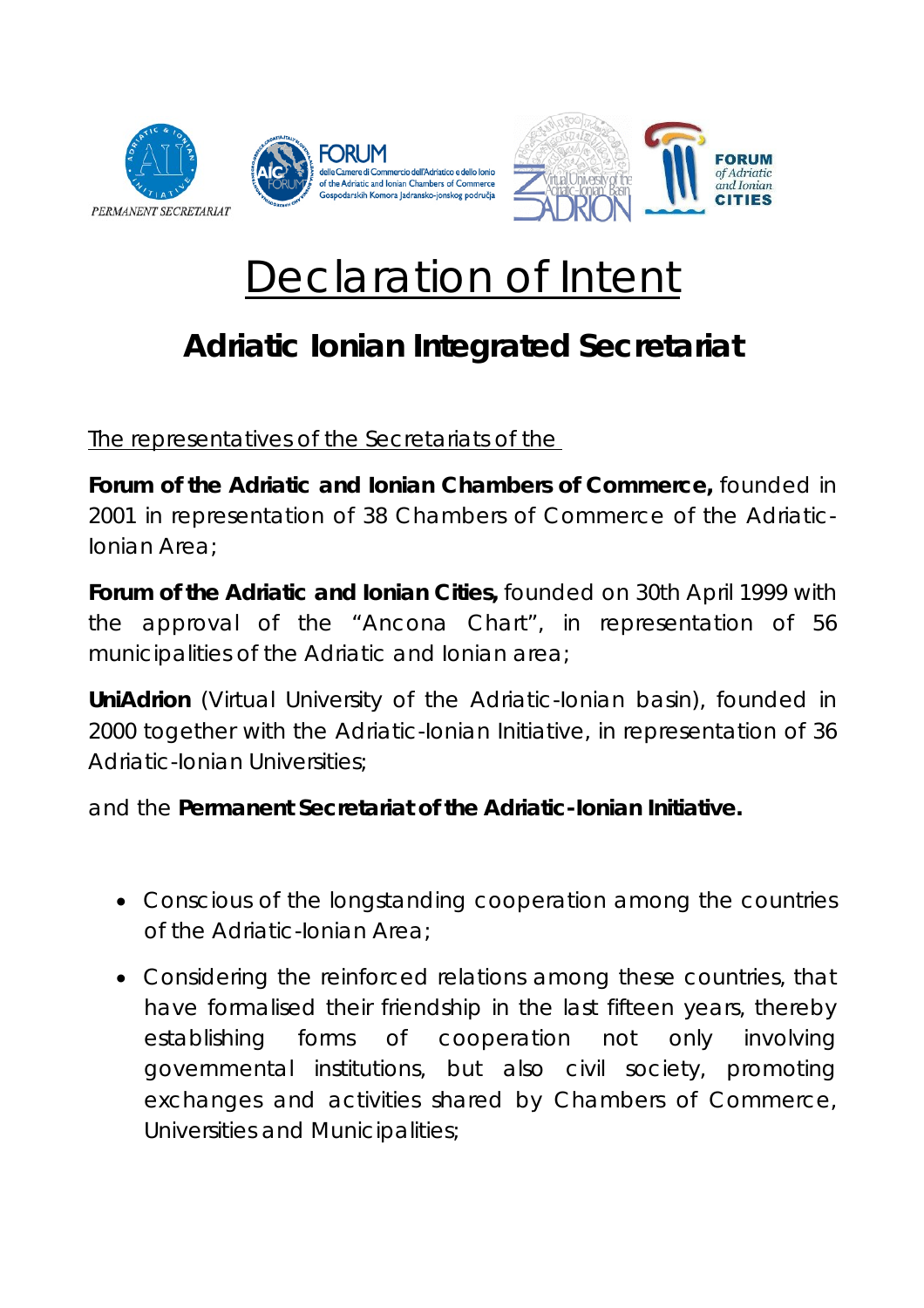



## Declaration of Intent

## **Adriatic Ionian Integrated Secretariat**

The representatives of the Secretariats of the

*Forum of the Adriatic and Ionian Chambers of Commerce, founded in 2001 in representation of 38 Chambers of Commerce of the Adriatic-Ionian Area*;

*Forum of the Adriatic and Ionian Cities, founded on 30th April 1999 with the approval of the "Ancona Chart", in representation of 56 municipalities of the Adriatic and Ionian area;* 

*UniAdrion (Virtual University of the Adriatic-Ionian basin), founded in 2000 together with the Adriatic-Ionian Initiative, in representation of 36 Adriatic-Ionian Universities;* 

*and the Permanent Secretariat of the Adriatic-Ionian Initiative.* 

- Conscious of the longstanding cooperation among the countries of the Adriatic-Ionian Area;
- Considering the reinforced relations among these countries, that have formalised their friendship in the last fifteen years, thereby establishing forms of cooperation not only involving governmental institutions, but also civil society, promoting exchanges and activities shared by Chambers of Commerce, Universities and Municipalities;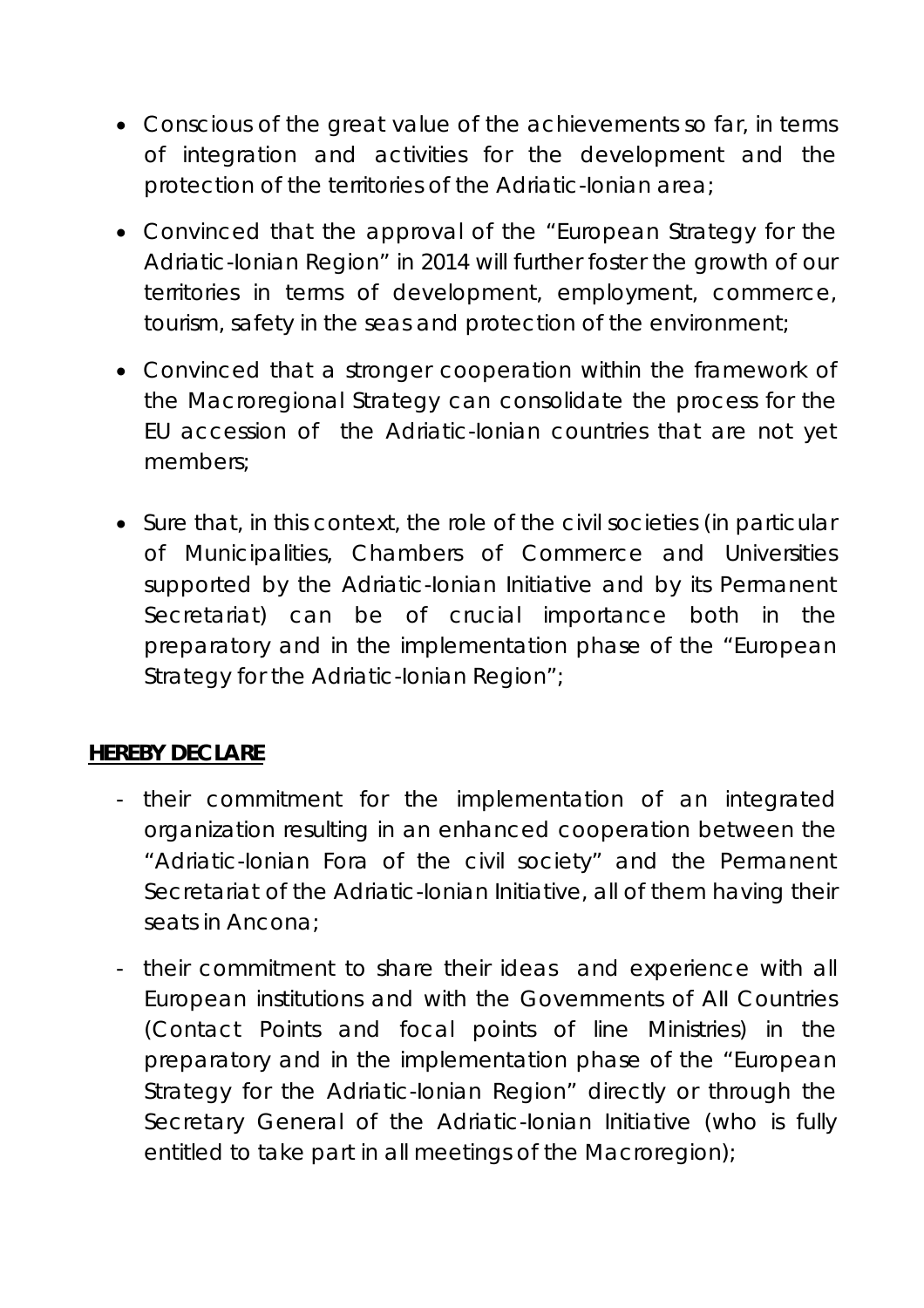- Conscious of the great value of the achievements so far, in terms of integration and activities for the development and the protection of the territories of the Adriatic-Ionian area;
- Convinced that the approval of the "European Strategy for the Adriatic-Ionian Region" in 2014 will further foster the growth of our territories in terms of development, employment, commerce, tourism, safety in the seas and protection of the environment;
- Convinced that a stronger cooperation within the framework of the Macroregional Strategy can consolidate the process for the EU accession of the Adriatic-Ionian countries that are not yet members;
- Sure that, in this context, the role of the civil societies (in particular of Municipalities, Chambers of Commerce and Universities supported by the Adriatic-Ionian Initiative and by its Permanent Secretariat) can be of crucial importance both in the preparatory and in the implementation phase of the "European Strategy for the Adriatic-Ionian Region";

## **HEREBY DECLARE**

- their commitment for the implementation of an integrated organization resulting in an enhanced cooperation between the "Adriatic-Ionian Fora of the civil society" and the Permanent Secretariat of the Adriatic-Ionian Initiative, all of them having their seats in Ancona;
- their commitment to share their ideas and experience with all European institutions and with the Governments of AII Countries (Contact Points and focal points of line Ministries) in the preparatory and in the implementation phase of the "European Strategy for the Adriatic-Ionian Region" directly or through the Secretary General of the Adriatic-Ionian Initiative (who is fully entitled to take part in all meetings of the Macroregion);